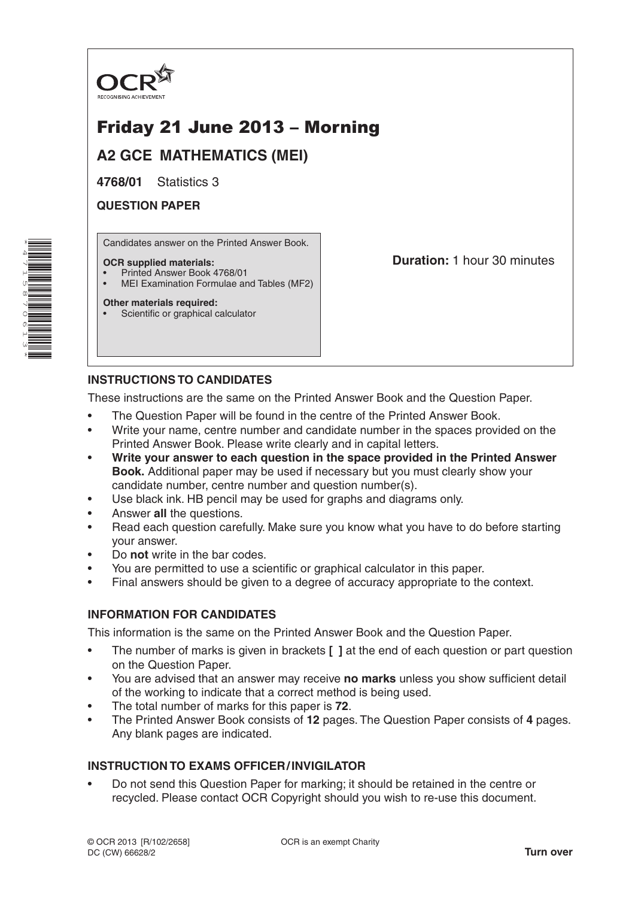

# Friday 21 June 2013 – Morning

**A2 GCE MATHEMATICS (MEI)**

**4768/01** Statistics 3

**QUESTION PAPER**

\*4 $\overline{\phantom{a}}$ 15 $^\alpha$  $\overline{\phantom{0}}$ 061ω \* Candidates answer on the Printed Answer Book.

#### **OCR supplied materials:**

- Printed Answer Book 4768/01
- MEI Examination Formulae and Tables (MF2)

#### **Other materials required:**

Scientific or graphical calculator

**Duration:** 1 hour 30 minutes

# **INSTRUCTIONS TO CANDIDATES**

These instructions are the same on the Printed Answer Book and the Question Paper.

- The Question Paper will be found in the centre of the Printed Answer Book.
- Write your name, centre number and candidate number in the spaces provided on the Printed Answer Book. Please write clearly and in capital letters.
- **Write your answer to each question in the space provided in the Printed Answer Book.** Additional paper may be used if necessary but you must clearly show your candidate number, centre number and question number(s).
- Use black ink. HB pencil may be used for graphs and diagrams only.
- Answer **all** the questions.
- Read each question carefully. Make sure you know what you have to do before starting your answer.
- Do **not** write in the bar codes.
- You are permitted to use a scientific or graphical calculator in this paper.
- Final answers should be given to a degree of accuracy appropriate to the context.

## **INFORMATION FOR CANDIDATES**

This information is the same on the Printed Answer Book and the Question Paper.

- The number of marks is given in brackets **[ ]** at the end of each question or part question on the Question Paper.
- You are advised that an answer may receive **no marks** unless you show sufficient detail of the working to indicate that a correct method is being used.
- The total number of marks for this paper is **72**.
- The Printed Answer Book consists of **12** pages. The Question Paper consists of **4** pages. Any blank pages are indicated.

# **INSTRUCTION TO EXAMS OFFICER/INVIGILATOR**

• Do not send this Question Paper for marking; it should be retained in the centre or recycled. Please contact OCR Copyright should you wish to re-use this document.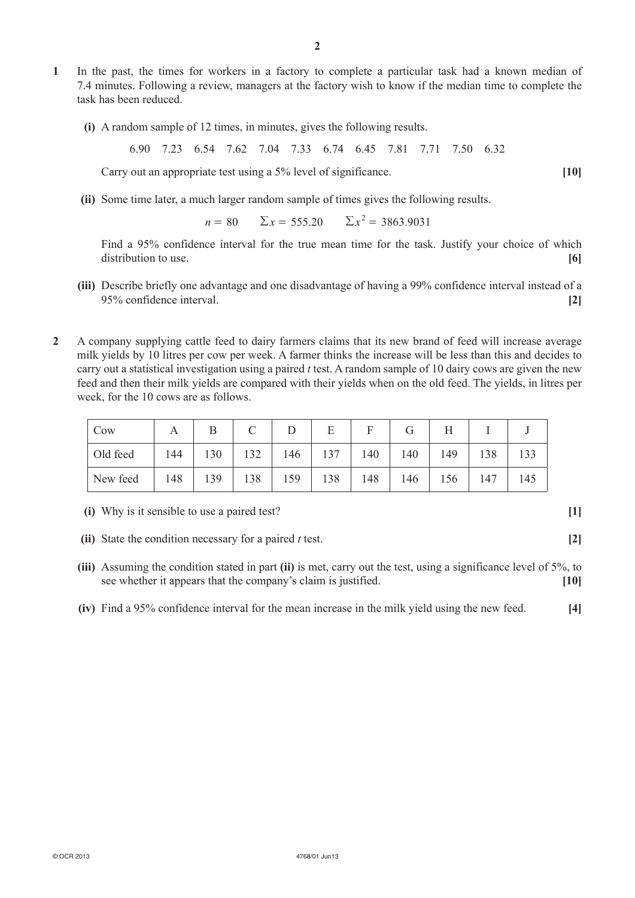- **1**  In the past, the times for workers in a factory to complete a particular task had a known median of 7.4 minutes. Following a review, managers at the factory wish to know if the median time to complete the task has been reduced.
	- **(i)**  A random sample of 12 times, in minutes, gives the following results.

6.90 7.23 6.54 7.62 7.04 7.33 6.74 6.45 7.81 7.71 7.50 6.32

Carry out an appropriate test using a 5% level of significance. **[10]** 

**(ii)** Some time later, a much larger random sample of times gives the following results.

 $n = 80$   $\Sigma x = 555.20$   $\Sigma x^2 = 3863.9031$ 

Find a 95% confidence interval for the true mean time for the task. Justify your choice of which distribution to use. **[6]** *c* 

- **(iii)** Describe briefly one advantage and one disadvantage of having a 99% confidence interval instead of a 95% confidence interval. **[2]**
- **2**  A company supplying cattle feed to dairy farmers claims that its new brand of feed will increase average milk yields by 10 litres per cow per week. A farmer thinks the increase will be less than this and decides to carry out a statistical investigation using a paired *t* test. A random sample of 10 dairy cows are given the new feed and then their milk yields are compared with their yields when on the old feed. The yields, in litres per week, for the 10 cows are as follows.

| Cow      |     |     |     |     |     |     |     |     |     |     |
|----------|-----|-----|-----|-----|-----|-----|-----|-----|-----|-----|
| Old feed | 144 | 130 | 132 | 146 | 137 | 140 | 140 | 149 | 138 | 33  |
| New feed | 148 | 139 | 138 | 159 | 138 | 148 | 146 | 156 | 147 | 145 |

**(i)** Why is it sensible to use a paired test? **[1]** 

- **(ii)** State the condition necessary for a paired *t* test. **[2]**
- **(iii)** Assuming the condition stated in part **(ii)** is met, carry out the test, using a significance level of 5%, to see whether it appears that the company's claim is justified. **[10]**
- **(iv)**  Find a 95% confidence interval for the mean increase in the milk yield using the new feed. **[4]**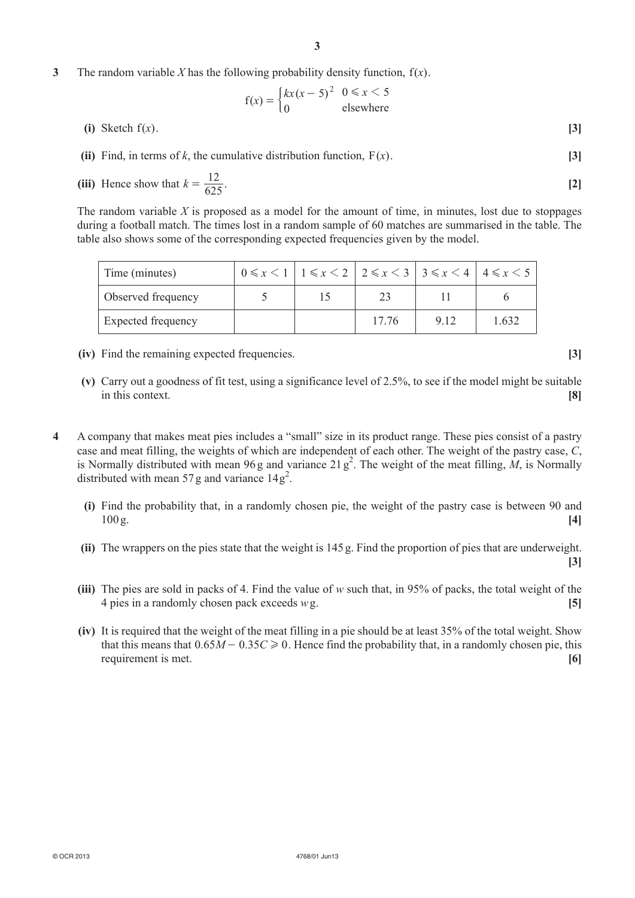**3** The random variable *X* has the following probability density function,  $f(x)$ .

$$
f(x) = \begin{cases} kx(x-5)^2 & 0 \le x < 5\\ 0 & \text{elsewhere} \end{cases}
$$

- **(i)** Sketch  $f(x)$ . **[3]**
- **(ii)** Find, in terms of *k*, the cumulative distribution function,  $F(x)$ . [3]
- (iii) Hence show that  $k = \frac{12}{625}$ .  $=\frac{12}{\sqrt{25}}$ . [2]

The random variable *X* is proposed as a model for the amount of time, in minutes, lost due to stoppages during a football match. The times lost in a random sample of 60 matches are summarised in the table. The table also shows some of the corresponding expected frequencies given by the model.

| Time (minutes)     | $0 \le x \le 1$ $1 \le x \le 2$ $2 \le x \le 3$ $3 \le x \le 4$ $4 \le x \le 5$ |       |       |       |  |
|--------------------|---------------------------------------------------------------------------------|-------|-------|-------|--|
| Observed frequency |                                                                                 |       |       |       |  |
| Expected frequency |                                                                                 | 17.76 | 9 1 2 | 1.632 |  |

- **(iv)** Find the remaining expected frequencies. **[3]**
- **(v)** Carry out a goodness of fit test, using a significance level of 2.5%, to see if the model might be suitable in this context. **[8]**
- **4**  A company that makes meat pies includes a "small" size in its product range. These pies consist of a pastry case and meat filling, the weights of which are independent of each other. The weight of the pastry case, *C*, is Normally distributed with mean 96 g and variance  $21 g^2$ . The weight of the meat filling,  $\dot{M}$ , is Normally distributed with mean 57 g and variance  $14g^2$ .
	- **(i)** Find the probability that, in a randomly chosen pie, the weight of the pastry case is between 90 and 100g. **[4]**
	- **(ii)** The wrappers on the pies state that the weight is 145 g. Find the proportion of pies that are underweight.
	- **(iii)** The pies are sold in packs of 4. Find the value of *w* such that, in 95% of packs, the total weight of the 4 pies in a randomly chosen pack exceeds *w*g. **[5]**
	- **(iv)** It is required that the weight of the meat filling in a pie should be at least 35% of the total weight. Show that this means that  $0.65M - 0.35C \ge 0$ . Hence find the probability that, in a randomly chosen pie, this requirement is met. **[6]**

**[3]**